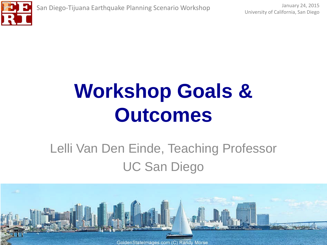

#### Lelli Van Den Einde, Teaching Professor UC San Diego

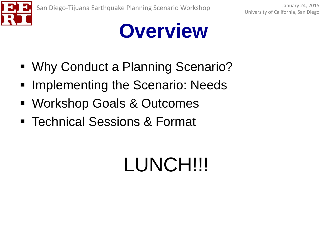

#### **Overview**

- Why Conduct a Planning Scenario?
- **Implementing the Scenario: Needs**
- Workshop Goals & Outcomes
- Technical Sessions & Format

## LUNCH!!!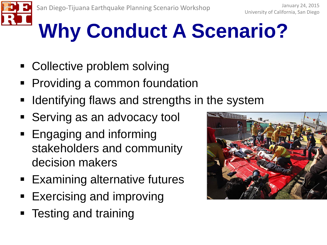

# **Why Conduct A Scenario?**

- Collective problem solving
- Providing a common foundation
- Identifying flaws and strengths in the system
- **Serving as an advocacy tool**
- **Engaging and informing** stakeholders and community decision makers
- Examining alternative futures
- Exercising and improving
- Testing and training

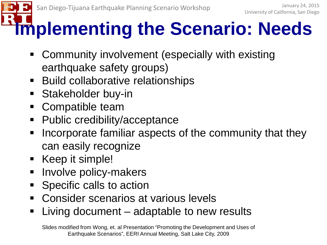#### **Implementing the Scenario: Needs**

- Community involvement (especially with existing earthquake safety groups)
- **Build collaborative relationships**
- **Stakeholder buy-in**
- Compatible team
- Public credibility/acceptance
- Incorporate familiar aspects of the community that they can easily recognize
- Keep it simple!
- Involve policy-makers
- **Specific calls to action**
- Consider scenarios at various levels
- Living document adaptable to new results

Slides modified from Wong, et. al Presentation "Promoting the Development and Uses of Earthquake Scenarios", EERI Annual Meeting, Salt Lake City, 2009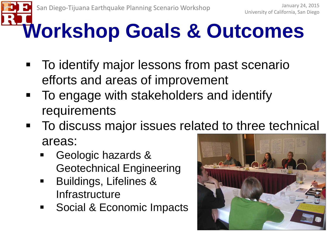- To identify major lessons from past scenario efforts and areas of improvement
- To engage with stakeholders and identify requirements
- To discuss major issues related to three technical areas:
	- Geologic hazards & Geotechnical Engineering
	- Buildings, Lifelines & **Infrastructure**
	- **Social & Economic Impacts**

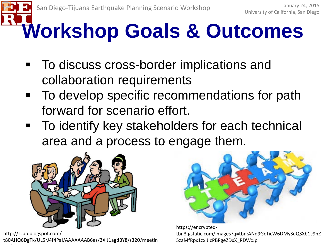- To discuss cross-border implications and collaboration requirements
- **To develop specific recommendations for path** forward for scenario effort.
- To identify key stakeholders for each technical area and a process to engage them.



http://1.bp.blogspot.com/ t80AHQ6DgTk/UL5rJ4f4PaI/AAAAAAAB6es/3XIJ1agdBY8/s320/meetin li 45 j



https://encryptedtbn3.gstatic.com/images?q=tbn:ANd9GcTicW6DMySuQSXb1c9hZ 5zaMfRpx1zxlJIcPBPgeZDxX\_RDWcJp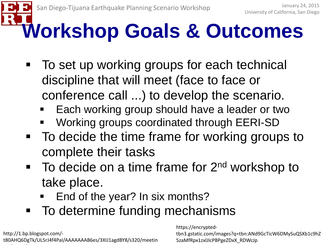- To set up working groups for each technical discipline that will meet (face to face or conference call ...) to develop the scenario.
	- Each working group should have a leader or two
	- Working groups coordinated through EERI-SD
- To decide the time frame for working groups to complete their tasks
- $\blacksquare$  To decide on a time frame for  $2<sup>nd</sup>$  workshop to take place.
	- End of the year? In six months?
- To determine funding mechanisms

http://1.bp.blogspot.com/ t80AHQ6DgTk/UL5rJ4f4PaI/AAAAAAAB6es/3XIJ1agdBY8/s320/meetin li 45 j

https://encryptedtbn3.gstatic.com/images?q=tbn:ANd9GcTicW6DMySuQSXb1c9hZ 5zaMfRpx1zxlJIcPBPgeZDxX\_RDWcJp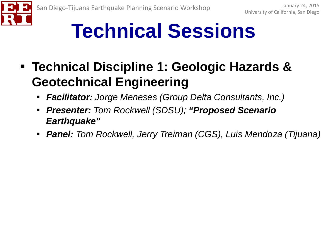

### **Technical Sessions**

- **Technical Discipline 1: Geologic Hazards & Geotechnical Engineering**
	- *Facilitator: Jorge Meneses (Group Delta Consultants, Inc.)*
	- *Presenter: Tom Rockwell (SDSU); "Proposed Scenario Earthquake"*
	- *Panel: Tom Rockwell, Jerry Treiman (CGS), Luis Mendoza (Tijuana)*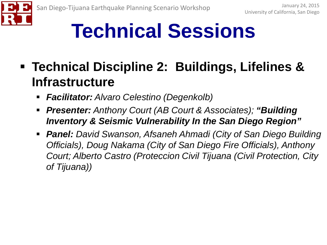

#### **Technical Sessions**

#### **Technical Discipline 2: Buildings, Lifelines & Infrastructure**

- *Facilitator: Alvaro Celestino (Degenkolb)*
- *Presenter: Anthony Court (AB Court & Associates); "Building Inventory & Seismic Vulnerability In the San Diego Region"*
- *Panel: David Swanson, Afsaneh Ahmadi (City of San Diego Building Officials), Doug Nakama (City of San Diego Fire Officials), Anthony Court; Alberto Castro (Proteccion Civil Tijuana (Civil Protection, City of Tijuana))*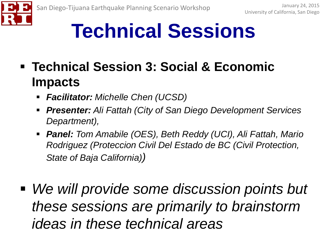

#### **Technical Sessions**

- **Technical Session 3: Social & Economic Impacts**
	- *Facilitator: Michelle Chen (UCSD)*
	- *Presenter: Ali Fattah (City of San Diego Development Services Department),*
	- *Panel: Tom Amabile (OES), Beth Reddy (UCI), Ali Fattah, Mario Rodriguez (Proteccion Civil Del Estado de BC (Civil Protection, State of Baja California))*
- *We will provide some discussion points but these sessions are primarily to brainstorm ideas in these technical areas*